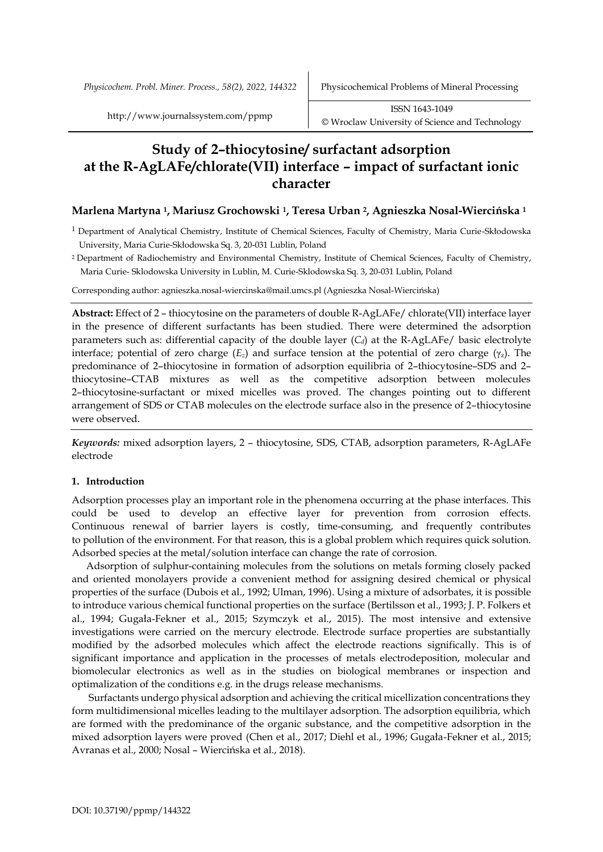*Physicochem. Probl. Miner. Process., 58(2), 2022, 144322* Physicochemical Problems of Mineral Processing

# **Study of 2–thiocytosine/ surfactant adsorption at the R-AgLAFe/chlorate(VII) interface – impact of surfactant ionic character**

# **Marlena Martyna <sup>1</sup>, Mariusz Grochowski <sup>1</sup>, Teresa Urban <sup>2</sup>, Agnieszka Nosal-Wiercińska <sup>1</sup>**

- 1 Department of Analytical Chemistry, Institute of Chemical Sciences, Faculty of Chemistry, Maria Curie-Skłodowska University, Maria Curie-Skłodowska Sq. 3, 20-031 Lublin, Poland
- <sup>2</sup> Department of Radiochemistry and Environmental Chemistry, Institute of Chemical Sciences, Faculty of Chemistry, Maria Curie- Sklodowska University in Lublin, M. Curie-Sklodowska Sq. 3, 20-031 Lublin, Poland

Corresponding author: agnieszka.nosal-wiercinska@mail.umcs.pl (Agnieszka Nosal-Wiercińska)

**Abstract:** Effect of 2 – thiocytosine on the parameters of double R-AgLAFe/ chlorate(VII) interface layer in the presence of different surfactants has been studied. There were determined the adsorption parameters such as: differential capacity of the double layer  $(C_d)$  at the R-AgLAFe/ basic electrolyte interface; potential of zero charge  $(E_z)$  and surface tension at the potential of zero charge  $(\gamma_z)$ . The predominance of 2–thiocytosine in formation of adsorption equilibria of 2–thiocytosine–SDS and 2– thiocytosine–CTAB mixtures as well as the competitive adsorption between molecules 2–thiocytosine-surfactant or mixed micelles was proved. The changes pointing out to different arrangement of SDS or CTAB molecules on the electrode surface also in the presence of 2–thiocytosine were observed.

*Keywords:* mixed adsorption layers, 2 – thiocytosine, SDS, CTAB, adsorption parameters, R-AgLAFe electrode

# **1. Introduction**

Adsorption processes play an important role in the phenomena occurring at the phase interfaces. This could be used to develop an effective layer for prevention from corrosion effects. Continuous renewal of barrier layers is costly, time-consuming, and frequently contributes to pollution of the environment. For that reason, this is a global problem which requires quick solution. Adsorbed species at the metal/solution interface can change the rate of corrosion.

Adsorption of sulphur-containing molecules from the solutions on metals forming closely packed and oriented monolayers provide a convenient method for assigning desired chemical or physical properties of the surface (Dubois et al., 1992; Ulman, 1996). Using a mixture of adsorbates, it is possible to introduce various chemical functional properties on the surface (Bertilsson et al., 1993; J. P. Folkers et al., 1994; Gugała-Fekner et al., 2015; Szymczyk et al., 2015). The most intensive and extensive investigations were carried on the mercury electrode. Electrode surface properties are substantially modified by the adsorbed molecules which affect the electrode reactions significally. This is of significant importance and application in the processes of metals electrodeposition, molecular and biomolecular electronics as well as in the studies on biological membranes or inspection and optimalization of the conditions e.g. in the drugs release mechanisms.

Surfactants undergo physical adsorption and achieving the critical micellization concentrations they form multidimensional micelles leading to the multilayer adsorption. The adsorption equilibria, which are formed with the predominance of the organic substance, and the competitive adsorption in the mixed adsorption layers were proved (Chen et al., 2017; Diehl et al., 1996; Gugała-Fekner et al., 2015; Avranas et al., 2000; Nosal – Wiercińska et al., 2018).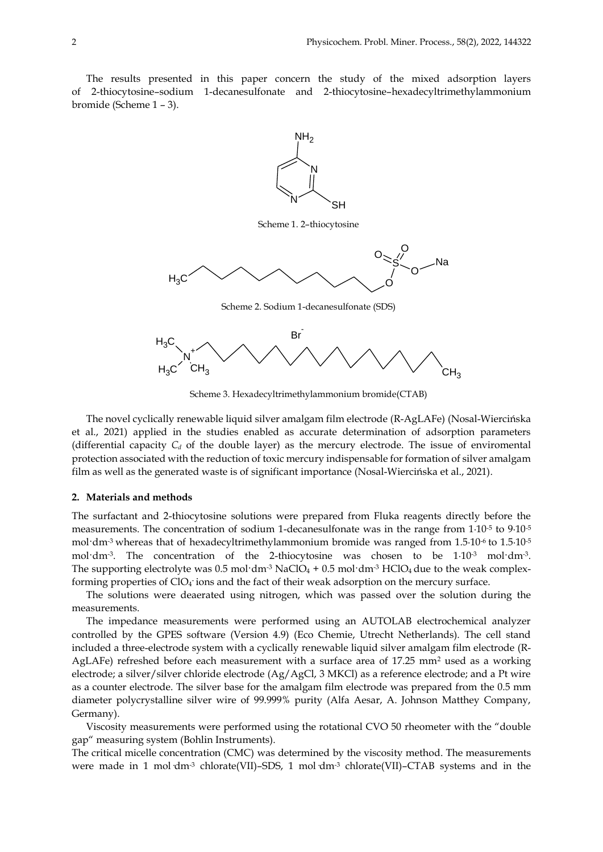The results presented in this paper concern the study of the mixed adsorption layers of 2-thiocytosine–sodium 1-decanesulfonate and 2-thiocytosine–hexadecyltrimethylammonium bromide (Scheme 1 – 3).



Scheme 1. 2–thiocytosine



Scheme 2. Sodium 1-decanesulfonate (SDS)



Scheme 3. Hexadecyltrimethylammonium bromide(CTAB)

The novel cyclically renewable liquid silver amalgam film electrode (R-AgLAFe) (Nosal-Wiercińska et al., 2021) applied in the studies enabled as accurate determination of adsorption parameters (differential capacity  $C_d$  of the double layer) as the mercury electrode. The issue of enviromental protection associated with the reduction of toxic mercury indispensable for formation of silver amalgam film as well as the generated waste is of significant importance (Nosal-Wiercińska et al., 2021).

#### **2. Materials and methods**

The surfactant and 2-thiocytosine solutions were prepared from Fluka reagents directly before the measurements. The concentration of sodium 1-decanesulfonate was in the range from 1∙10<sup>-5</sup> to 9∙10<sup>-5</sup> mol·dm<sup>-3</sup> whereas that of hexadecyltrimethylammonium bromide was ranged from 1.5∙10<sup>-6</sup> to 1.5∙10<sup>-5</sup> mol·dm<sup>-3</sup>. The concentration of the 2-thiocytosine was chosen to be 1∙10<sup>-3</sup> mol·dm<sup>-3</sup>. The supporting electrolyte was  $0.5$  mol·dm<sup>-3</sup> NaClO<sub>4</sub> +  $0.5$  mol·dm<sup>-3</sup> HClO<sub>4</sub> due to the weak complexforming properties of ClO4 ions and the fact of their weak adsorption on the mercury surface.

The solutions were deaerated using nitrogen, which was passed over the solution during the measurements.

The impedance measurements were performed using an AUTOLAB electrochemical analyzer controlled by the GPES software (Version 4.9) (Eco Chemie, Utrecht Netherlands). The cell stand included a three-electrode system with a cyclically renewable liquid silver amalgam film electrode (R-AgLAFe) refreshed before each measurement with a surface area of  $17.25$  mm<sup>2</sup> used as a working electrode; a silver/silver chloride electrode (Ag/AgCl, 3 MKCl) as a reference electrode; and a Pt wire as a counter electrode. The silver base for the amalgam film electrode was prepared from the 0.5 mm diameter polycrystalline silver wire of 99.999% purity (Alfa Aesar, A. Johnson Matthey Company, Germany).

Viscosity measurements were performed using the rotational CVO 50 rheometer with the "double gap" measuring system (Bohlin Instruments).

The critical micelle concentration (CMC) was determined by the viscosity method. The measurements were made in 1 mol dm<sup>-3</sup> chlorate(VII)–SDS, 1 mol dm<sup>-3</sup> chlorate(VII)–CTAB systems and in the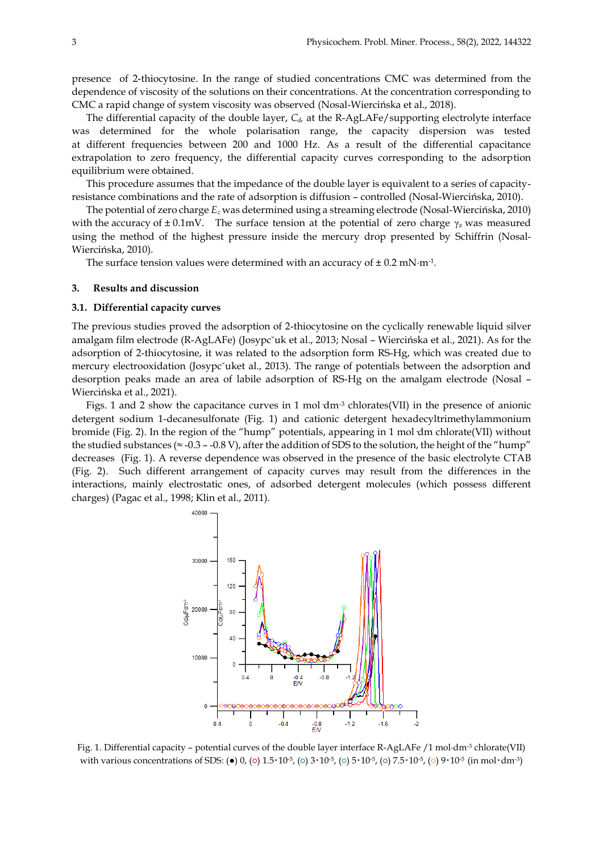presence of 2-thiocytosine. In the range of studied concentrations CMC was determined from the dependence of viscosity of the solutions on their concentrations. At the concentration corresponding to CMC a rapid change of system viscosity was observed (Nosal-Wiercińska et al., 2018).

The differential capacity of the double layer,  $C_d$  at the R-AgLAFe/supporting electrolyte interface was determined for the whole polarisation range, the capacity dispersion was tested at different frequencies between 200 and 1000 Hz. As a result of the differential capacitance extrapolation to zero frequency, the differential capacity curves corresponding to the adsorption equilibrium were obtained.

This procedure assumes that the impedance of the double layer is equivalent to a series of capacityresistance combinations and the rate of adsorption is diffusion – controlled (Nosal-Wiercińska, 2010).

The potential of zero charge *E<sup>z</sup>* was determined using a streaming electrode (Nosal-Wiercińska, 2010) with the accuracy of  $\pm$  0.1mV. The surface tension at the potential of zero charge  $\gamma$ <sub>z</sub> was measured using the method of the highest pressure inside the mercury drop presented by Schiffrin (Nosal-Wiercińska, 2010).

The surface tension values were determined with an accuracy of  $\pm$  0.2 mN·m<sup>-1</sup>.

#### **3. Results and discussion**

### **3.1. Differential capacity curves**

The previous studies proved the adsorption of 2-thiocytosine on the cyclically renewable liquid silver amalgam film electrode (R-AgLAFe) (Josypcˇuk et al., 2013; Nosal – Wiercińska et al., 2021). As for the adsorption of 2-thiocytosine, it was related to the adsorption form RS-Hg, which was created due to mercury electrooxidation (Josypc'uket al., 2013). The range of potentials between the adsorption and desorption peaks made an area of labile adsorption of RS-Hg on the amalgam electrode (Nosal – Wiercińska et al., 2021).

Figs. 1 and 2 show the capacitance curves in 1 mol  $dm<sup>3</sup>$  chlorates(VII) in the presence of anionic detergent sodium 1-decanesulfonate (Fig. 1) and cationic detergent hexadecyltrimethylammonium bromide (Fig. 2). In the region of the "hump" potentials, appearing in 1 mol·dm chlorate(VII) without the studied substances ( $\approx$  -0.3 – -0.8 V), after the addition of SDS to the solution, the height of the "hump" decreases (Fig. 1). A reverse dependence was observed in the presence of the basic electrolyte CTAB (Fig. 2). Such different arrangement of capacity curves may result from the differences in the interactions, mainly electrostatic ones, of adsorbed detergent molecules (which possess different charges) (Pagac et al., 1998; Klin et al., 2011).



Fig. 1. Differential capacity – potential curves of the double layer interface R-AgLAFe /1 mol∙dm-3 chlorate(VII) with various concentrations of SDS: ( $\bullet$ ) 0, (o) 1.5⋅10⋅5, (o) 3⋅10⋅5, (o) 5⋅10⋅5, (o) 7.5⋅10⋅5, (o) 9⋅10⋅5 (in mol⋅dm<sup>-3</sup>)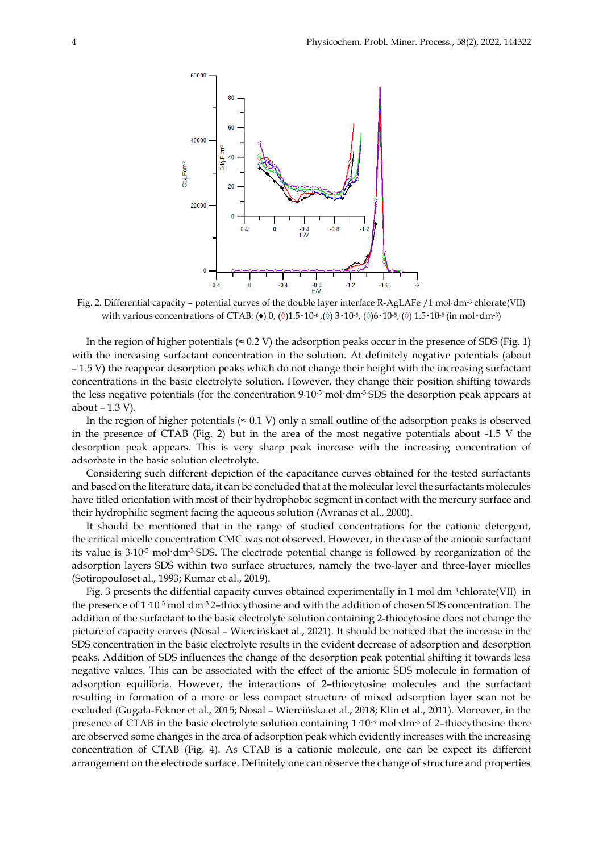

Fig. 2. Differential capacity – potential curves of the double layer interface R-AgLAFe /1 mol∙dm-3 chlorate(VII) with various concentrations of CTAB: (♦) 0, (◊)1.5‧10-6 ,(**◊**) 3‧10-5, (**◊**)6‧10-5, (**◊**) 1.5‧10-5 (in mol‧dm-3)

In the region of higher potentials ( $\approx$  0.2 V) the adsorption peaks occur in the presence of SDS (Fig. 1) with the increasing surfactant concentration in the solution. At definitely negative potentials (about – 1.5 V) the reappear desorption peaks which do not change their height with the increasing surfactant concentrations in the basic electrolyte solution. However, they change their position shifting towards the less negative potentials (for the concentration 9∙10-5 mol·dm-3 SDS the desorption peak appears at about – 1.3 V).

In the region of higher potentials ( $\approx 0.1$  V) only a small outline of the adsorption peaks is observed in the presence of CTAB (Fig. 2) but in the area of the most negative potentials about -1.5 V the desorption peak appears. This is very sharp peak increase with the increasing concentration of adsorbate in the basic solution electrolyte.

Considering such different depiction of the capacitance curves obtained for the tested surfactants and based on the literature data, it can be concluded that at the molecular level the surfactants molecules have titled orientation with most of their hydrophobic segment in contact with the mercury surface and their hydrophilic segment facing the aqueous solution (Avranas et al., 2000).

It should be mentioned that in the range of studied concentrations for the cationic detergent, the critical micelle concentration CMC was not observed. However, in the case of the anionic surfactant its value is 3∙10-5 mol·dm-3 SDS. The electrode potential change is followed by reorganization of the adsorption layers SDS within two surface structures, namely the two-layer and three-layer micelles (Sotiropouloset al., 1993; Kumar et al., 2019).

Fig. 3 presents the diffential capacity curves obtained experimentally in 1 mol dm-3 chlorate(VII) in the presence of 1  $10^{-3}$  mol·dm<sup>-3</sup> 2–thiocythosine and with the addition of chosen SDS concentration. The addition of the surfactant to the basic electrolyte solution containing 2-thiocytosine does not change the picture of capacity curves (Nosal – Wiercińskaet al., 2021). It should be noticed that the increase in the SDS concentration in the basic electrolyte results in the evident decrease of adsorption and desorption peaks. Addition of SDS influences the change of the desorption peak potential shifting it towards less negative values. This can be associated with the effect of the anionic SDS molecule in formation of adsorption equilibria. However, the interactions of 2–thiocytosine molecules and the surfactant resulting in formation of a more or less compact structure of mixed adsorption layer scan not be excluded (Gugała-Fekner et al., 2015; Nosal – Wiercińska et al., 2018; Klin et al., 2011). Moreover, in the presence of CTAB in the basic electrolyte solution containing  $1\,10^{-3}$  mol·dm<sup>-3</sup> of 2–thiocythosine there are observed some changes in the area of adsorption peak which evidently increases with the increasing concentration of CTAB (Fig. 4). As CTAB is a cationic molecule, one can be expect its different arrangement on the electrode surface. Definitely one can observe the change of structure and properties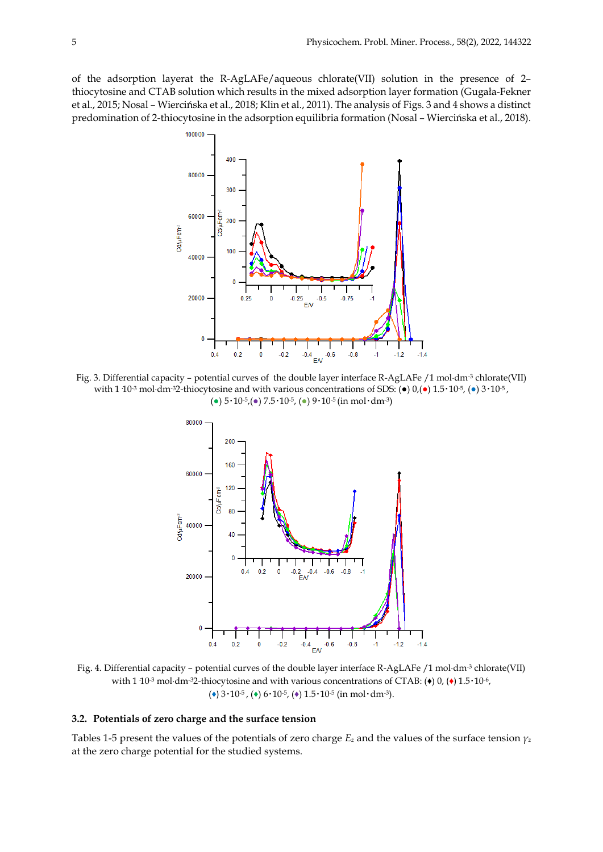of the adsorption layerat the R-AgLAFe/aqueous chlorate(VII) solution in the presence of 2– thiocytosine and CTAB solution which results in the mixed adsorption layer formation (Gugała-Fekner et al., 2015; Nosal – Wiercińska et al., 2018; Klin et al., 2011). The analysis of Figs. 3 and 4 shows a distinct predomination of 2-thiocytosine in the adsorption equilibria formation (Nosal – Wiercińska et al., 2018).



Fig. 3. Differential capacity – potential curves of the double layer interface R-AgLAFe /1 mol∙dm-3 chlorate(VII) with 1 10<sup>-3</sup> mol⋅dm<sup>-3</sup>2-thiocytosine and with various concentrations of SDS: ( $\bullet$ ) 0,( $\bullet$ ) 1.5⋅10<sup>-5</sup>, ( $\bullet$ ) 3⋅10<sup>-5</sup>, (**●**) 5‧10-5,(**●**) 7.5‧10-5, (**●**) 9‧10-5 (in mol‧dm-3)



Fig. 4. Differential capacity – potential curves of the double layer interface R-AgLAFe /1 mol∙dm-3 chlorate(VII) with 1·10<sup>-3</sup> mol⋅dm<sup>-3</sup>2-thiocytosine and with various concentrations of CTAB: (♦) 0, (♦) 1.5⋅10<sup>-6</sup>, ( $\leftrightarrow$ ) 3 $\cdot$ 10<sup>-5</sup>, ( $\leftrightarrow$ ) 6 $\cdot$ 10<sup>-5</sup>, ( $\leftrightarrow$ ) 1.5 $\cdot$ 10<sup>-5</sup> (in mol·dm<sup>-3</sup>).

# **3.2. Potentials of zero charge and the surface tension**

Tables 1-5 present the values of the potentials of zero charge  $E_z$  and the values of the surface tension  $\gamma_z$ at the zero charge potential for the studied systems.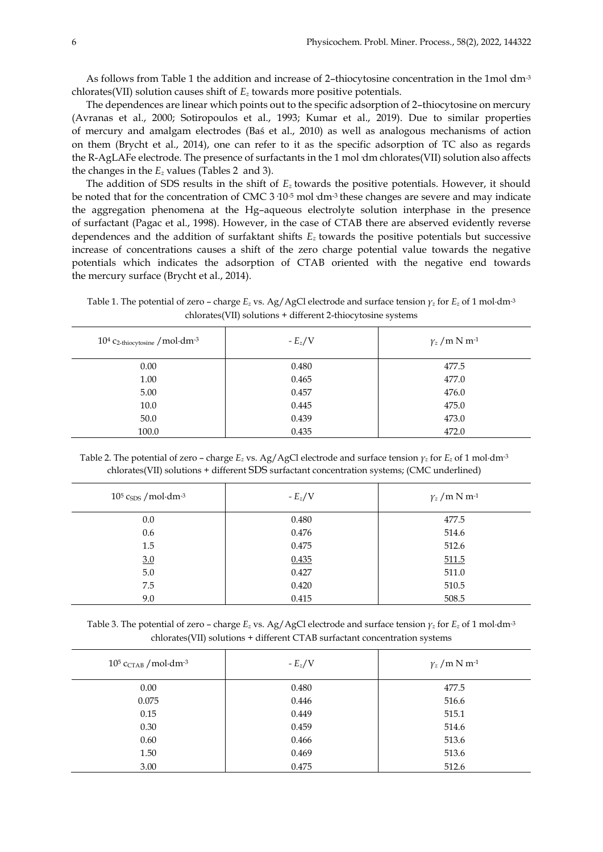As follows from Table 1 the addition and increase of 2–thiocytosine concentration in the 1mol·dm-3 chlorates(VII) solution causes shift of *E<sup>z</sup>* towards more positive potentials.

The dependences are linear which points out to the specific adsorption of 2–thiocytosine on mercury (Avranas et al., 2000; Sotiropoulos et al., 1993; Kumar et al., 2019). Due to similar properties of mercury and amalgam electrodes (Baś et al., 2010) as well as analogous mechanisms of action on them (Brycht et al., 2014), one can refer to it as the specific adsorption of TC also as regards the R-AgLAFe electrode. The presence of surfactants in the 1 mol·dm chlorates(VII) solution also affects the changes in the *E<sup>z</sup>* values (Tables 2 and 3).

The addition of SDS results in the shift of *Ez* towards the positive potentials. However, it should be noted that for the concentration of CMC 3·10<sup>-5</sup> mol·dm<sup>-3</sup> these changes are severe and may indicate the aggregation phenomena at the Hg–aqueous electrolyte solution interphase in the presence of surfactant (Pagac et al., 1998). However, in the case of CTAB there are abserved evidently reverse dependences and the addition of surfaktant shifts *Ez* towards the positive potentials but successive increase of concentrations causes a shift of the zero charge potential value towards the negative potentials which indicates the adsorption of CTAB oriented with the negative end towards the mercury surface (Brycht et al., 2014).

Table 1. The potential of zero – charge *E<sup>z</sup>* vs. Ag/AgCl electrode and surface tension *γ<sup>z</sup>* for *E<sup>z</sup>* of 1 mol∙dm-3 chlorates(VII) solutions + different 2-thiocytosine systems

| $10^4$ C <sub>2</sub> -thiocytosine / mol·dm <sup>-3</sup> | $-E_z/V$ | $\gamma$ <sub>z</sub> / m N m <sup>-1</sup> |
|------------------------------------------------------------|----------|---------------------------------------------|
| 0.00                                                       | 0.480    | 477.5                                       |
| 1.00                                                       | 0.465    | 477.0                                       |
| 5.00                                                       | 0.457    | 476.0                                       |
| 10.0                                                       | 0.445    | 475.0                                       |
| 50.0                                                       | 0.439    | 473.0                                       |
| 100.0                                                      | 0.435    | 472.0                                       |

Table 2. The potential of zero – charge *E<sup>z</sup>* vs. Ag/AgCl electrode and surface tension *γ<sup>z</sup>* for *E<sup>z</sup>* of 1 mol∙dm-3 chlorates(VII) solutions + different SDS surfactant concentration systems; (CMC underlined)

| $10^5$ csps / mol·dm <sup>-3</sup> | - $E_z/V$ | $\gamma$ <sub>z</sub> / m N m <sup>-1</sup> |
|------------------------------------|-----------|---------------------------------------------|
| 0.0                                | 0.480     | 477.5                                       |
| 0.6                                | 0.476     | 514.6                                       |
| 1.5                                | 0.475     | 512.6                                       |
| 3.0                                | 0.435     | 511.5                                       |
| 5.0                                | 0.427     | 511.0                                       |
| 7.5                                | 0.420     | 510.5                                       |
| 9.0                                | 0.415     | 508.5                                       |

Table 3. The potential of zero – charge *E<sup>z</sup>* vs. Ag/AgCl electrode and surface tension *γ<sup>z</sup>* for *E<sup>z</sup>* of 1 mol∙dm-3 chlorates(VII) solutions + different CTAB surfactant concentration systems

| $10^5$ CCTAB / mol·dm <sup>-3</sup> | - $E_z/V$ | $\gamma_z/m \text{ N m}^{-1}$ |
|-------------------------------------|-----------|-------------------------------|
| 0.00                                | 0.480     | 477.5                         |
| 0.075                               | 0.446     | 516.6                         |
| 0.15                                | 0.449     | 515.1                         |
| 0.30                                | 0.459     | 514.6                         |
| 0.60                                | 0.466     | 513.6                         |
| 1.50                                | 0.469     | 513.6                         |
| 3.00                                | 0.475     | 512.6                         |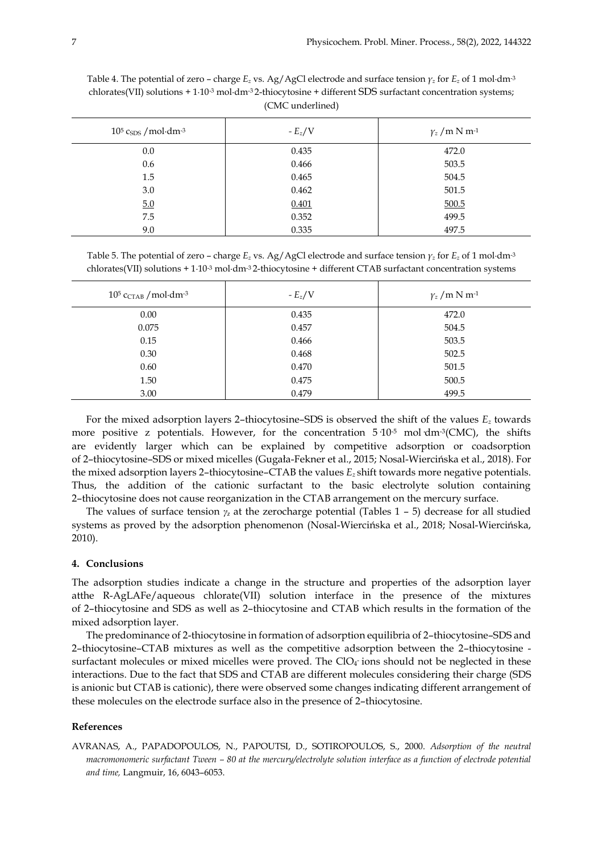| $10^5$ C <sub>SDS</sub> / mol·dm <sup>-3</sup> | - $E_z/V$ | $\gamma_z/m \text{ N m}^{-1}$ |
|------------------------------------------------|-----------|-------------------------------|
| 0.0                                            | 0.435     | 472.0                         |
| 0.6                                            | 0.466     | 503.5                         |
| 1.5                                            | 0.465     | 504.5                         |
| 3.0                                            | 0.462     | 501.5                         |
| 5.0                                            | 0.401     | 500.5                         |
| 7.5                                            | 0.352     | 499.5                         |
| 9.0                                            | 0.335     | 497.5                         |

Table 4. The potential of zero – charge *E<sup>z</sup>* vs. Ag/AgCl electrode and surface tension *γ<sup>z</sup>* for *E<sup>z</sup>* of 1 mol∙dm-3 chlorates(VII) solutions + 1∙10-3 mol∙dm-3 2-thiocytosine + different SDS surfactant concentration systems; (CMC underlined)

Table 5. The potential of zero – charge *E<sup>z</sup>* vs. Ag/AgCl electrode and surface tension *γ<sup>z</sup>* for *E<sup>z</sup>* of 1 mol∙dm-3 chlorates(VII) solutions + 1∙10-3 mol∙dm-3 2-thiocytosine + different CTAB surfactant concentration systems

| $10^5$ CCTAB / mol·dm-3 | - $E_z/V$ | $\gamma_z/m \text{ N m}^{-1}$ |
|-------------------------|-----------|-------------------------------|
| 0.00                    | 0.435     | 472.0                         |
| 0.075                   | 0.457     | 504.5                         |
| 0.15                    | 0.466     | 503.5                         |
| 0.30                    | 0.468     | 502.5                         |
| 0.60                    | 0.470     | 501.5                         |
| 1.50                    | 0.475     | 500.5                         |
| 3.00                    | 0.479     | 499.5                         |

For the mixed adsorption layers 2–thiocytosine–SDS is observed the shift of the values *E<sup>z</sup>* towards more positive z potentials. However, for the concentration  $5\,10^{-5}$  mol $\rm{dm}$ <sup>3</sup>(CMC), the shifts are evidently larger which can be explained by competitive adsorption or coadsorption of 2–thiocytosine–SDS or mixed micelles (Gugała-Fekner et al., 2015; Nosal-Wiercińska et al., 2018). For the mixed adsorption layers 2–thiocytosine–CTAB the values *E<sup>z</sup>* shift towards more negative potentials. Thus, the addition of the cationic surfactant to the basic electrolyte solution containing 2–thiocytosine does not cause reorganization in the CTAB arrangement on the mercury surface.

The values of surface tension *γ<sup>z</sup>* at the zerocharge potential (Tables 1 – 5) decrease for all studied systems as proved by the adsorption phenomenon (Nosal-Wiercińska et al., 2018; Nosal-Wiercińska, 2010).

## **4. Conclusions**

The adsorption studies indicate a change in the structure and properties of the adsorption layer atthe R-AgLAFe/aqueous chlorate(VII) solution interface in the presence of the mixtures of 2–thiocytosine and SDS as well as 2–thiocytosine and CTAB which results in the formation of the mixed adsorption layer.

The predominance of 2-thiocytosine in formation of adsorption equilibria of 2–thiocytosine–SDS and 2–thiocytosine–CTAB mixtures as well as the competitive adsorption between the 2–thiocytosine surfactant molecules or mixed micelles were proved. The ClO4 ions should not be neglected in these interactions. Due to the fact that SDS and CTAB are different molecules considering their charge (SDS is anionic but CTAB is cationic), there were observed some changes indicating different arrangement of these molecules on the electrode surface also in the presence of 2–thiocytosine.

## **References**

AVRANAS, A., PAPADOPOULOS, N., PAPOUTSI, D., SOTIROPOULOS, S., 2000. *Adsorption of the neutral macromonomeric surfactant Tween – 80 at the mercury/electrolyte solution interface as a function of electrode potential and time,* Langmuir, 16, 6043–6053.